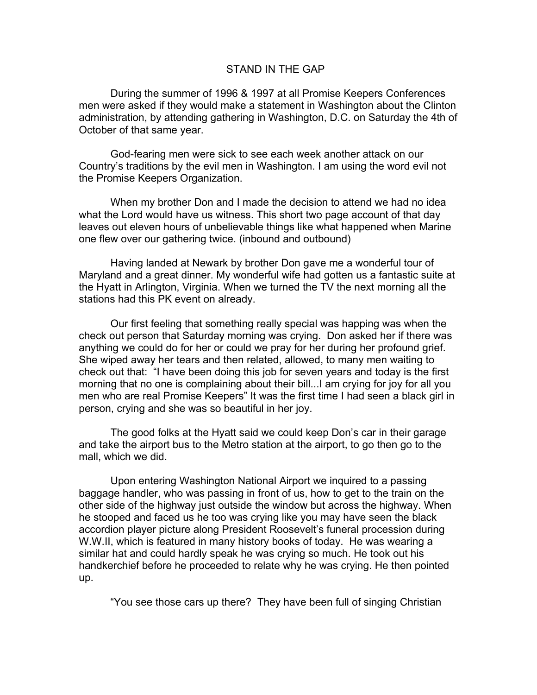## STAND IN THE GAP

During the summer of 1996 & 1997 at all Promise Keepers Conferences men were asked if they would make a statement in Washington about the Clinton administration, by attending gathering in Washington, D.C. on Saturday the 4th of October of that same year.

God-fearing men were sick to see each week another attack on our Country's traditions by the evil men in Washington. I am using the word evil not the Promise Keepers Organization.

When my brother Don and I made the decision to attend we had no idea what the Lord would have us witness. This short two page account of that day leaves out eleven hours of unbelievable things like what happened when Marine one flew over our gathering twice. (inbound and outbound)

Having landed at Newark by brother Don gave me a wonderful tour of Maryland and a great dinner. My wonderful wife had gotten us a fantastic suite at the Hyatt in Arlington, Virginia. When we turned the TV the next morning all the stations had this PK event on already.

Our first feeling that something really special was happing was when the check out person that Saturday morning was crying. Don asked her if there was anything we could do for her or could we pray for her during her profound grief. She wiped away her tears and then related, allowed, to many men waiting to check out that: "I have been doing this job for seven years and today is the first morning that no one is complaining about their bill...I am crying for joy for all you men who are real Promise Keepers" It was the first time I had seen a black girl in person, crying and she was so beautiful in her joy.

The good folks at the Hyatt said we could keep Don's car in their garage and take the airport bus to the Metro station at the airport, to go then go to the mall, which we did.

Upon entering Washington National Airport we inquired to a passing baggage handler, who was passing in front of us, how to get to the train on the other side of the highway just outside the window but across the highway. When he stooped and faced us he too was crying like you may have seen the black accordion player picture along President Roosevelt's funeral procession during W.W.II, which is featured in many history books of today. He was wearing a similar hat and could hardly speak he was crying so much. He took out his handkerchief before he proceeded to relate why he was crying. He then pointed up.

"You see those cars up there? They have been full of singing Christian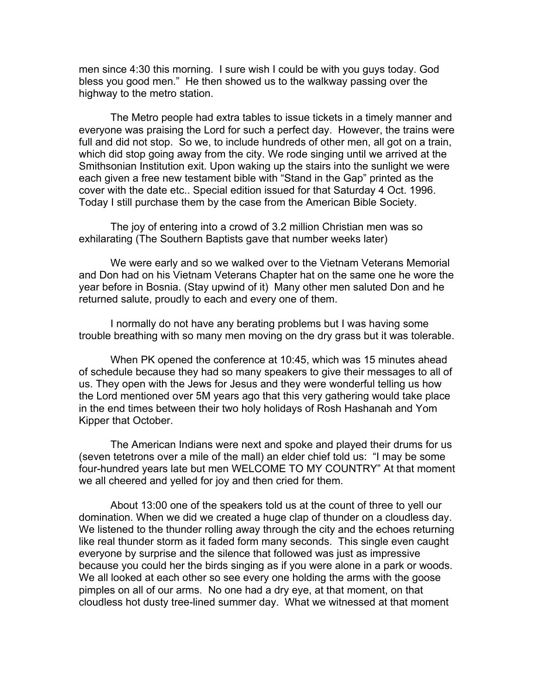men since 4:30 this morning. I sure wish I could be with you guys today. God bless you good men." He then showed us to the walkway passing over the highway to the metro station.

The Metro people had extra tables to issue tickets in a timely manner and everyone was praising the Lord for such a perfect day. However, the trains were full and did not stop. So we, to include hundreds of other men, all got on a train, which did stop going away from the city. We rode singing until we arrived at the Smithsonian Institution exit. Upon waking up the stairs into the sunlight we were each given a free new testament bible with "Stand in the Gap" printed as the cover with the date etc.. Special edition issued for that Saturday 4 Oct. 1996. Today I still purchase them by the case from the American Bible Society.

The joy of entering into a crowd of 3.2 million Christian men was so exhilarating (The Southern Baptists gave that number weeks later)

We were early and so we walked over to the Vietnam Veterans Memorial and Don had on his Vietnam Veterans Chapter hat on the same one he wore the year before in Bosnia. (Stay upwind of it) Many other men saluted Don and he returned salute, proudly to each and every one of them.

I normally do not have any berating problems but I was having some trouble breathing with so many men moving on the dry grass but it was tolerable.

When PK opened the conference at 10:45, which was 15 minutes ahead of schedule because they had so many speakers to give their messages to all of us. They open with the Jews for Jesus and they were wonderful telling us how the Lord mentioned over 5M years ago that this very gathering would take place in the end times between their two holy holidays of Rosh Hashanah and Yom Kipper that October.

The American Indians were next and spoke and played their drums for us (seven tetetrons over a mile of the mall) an elder chief told us: "I may be some four-hundred years late but men WELCOME TO MY COUNTRY" At that moment we all cheered and yelled for joy and then cried for them.

About 13:00 one of the speakers told us at the count of three to yell our domination. When we did we created a huge clap of thunder on a cloudless day. We listened to the thunder rolling away through the city and the echoes returning like real thunder storm as it faded form many seconds. This single even caught everyone by surprise and the silence that followed was just as impressive because you could her the birds singing as if you were alone in a park or woods. We all looked at each other so see every one holding the arms with the goose pimples on all of our arms. No one had a dry eye, at that moment, on that cloudless hot dusty tree-lined summer day. What we witnessed at that moment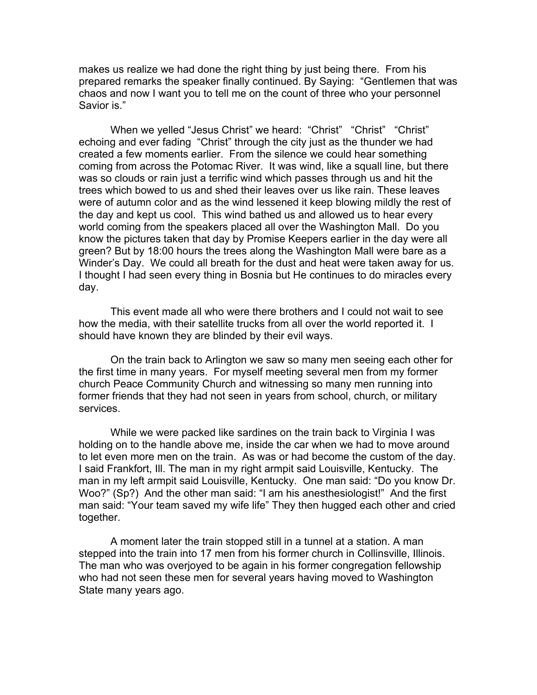makes us realize we had done the right thing by just being there. From his prepared remarks the speaker finally continued. By Saying: "Gentlemen that was chaos and now I want you to tell me on the count of three who your personnel Savior is."

When we yelled "Jesus Christ" we heard: "Christ" "Christ" "Christ" echoing and ever fading "Christ" through the city just as the thunder we had created a few moments earlier. From the silence we could hear something coming from across the Potomac River. It was wind, like a squall line, but there was so clouds or rain just a terrific wind which passes through us and hit the trees which bowed to us and shed their leaves over us like rain. These leaves were of autumn color and as the wind lessened it keep blowing mildly the rest of the day and kept us cool. This wind bathed us and allowed us to hear every world coming from the speakers placed all over the Washington Mall. Do you know the pictures taken that day by Promise Keepers earlier in the day were all green? But by 18:00 hours the trees along the Washington Mall were bare as a Winder's Day. We could all breath for the dust and heat were taken away for us. I thought I had seen every thing in Bosnia but He continues to do miracles every day.

This event made all who were there brothers and I could not wait to see how the media, with their satellite trucks from all over the world reported it. I should have known they are blinded by their evil ways.

On the train back to Arlington we saw so many men seeing each other for the first time in many years. For myself meeting several men from my former church Peace Community Church and witnessing so many men running into former friends that they had not seen in years from school, church, or military services.

While we were packed like sardines on the train back to Virginia I was holding on to the handle above me, inside the car when we had to move around to let even more men on the train. As was or had become the custom of the day. I said Frankfort, Ill. The man in my right armpit said Louisville, Kentucky. The man in my left armpit said Louisville, Kentucky. One man said: "Do you know Dr. Woo?" (Sp?) And the other man said: "I am his anesthesiologist!" And the first man said: "Your team saved my wife life" They then hugged each other and cried together.

A moment later the train stopped still in a tunnel at a station. A man stepped into the train into 17 men from his former church in Collinsville, Illinois. The man who was overjoyed to be again in his former congregation fellowship who had not seen these men for several years having moved to Washington State many years ago.